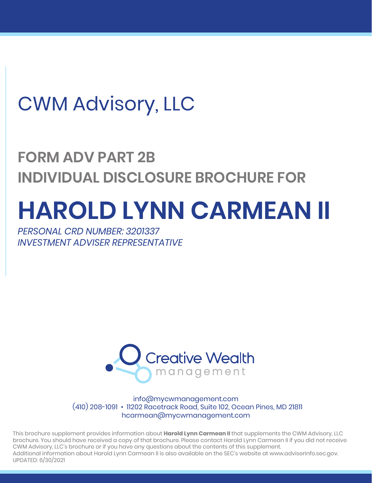## CWM Advisory, LLC

## **FORM ADV PART 2B INDIVIDUAL DISCLOSURE BROCHURE FOR**

# **HAROLD LYNN CARMEAN II**

*PERSONAL CRD NUMBER: 3201337 INVESTMENT ADVISER REPRESENTATIVE*



info@mycwmanagement.com (410) 208-1091 • 11202 Racetrack Road, Suite 102, Ocean Pines, MD 21811 hcarmean@mycwmanagement.com

This brochure supplement provides information about **Harold Lynn Carmean II** that supplements the CWM Advisory, LLC brochure. You should have received a copy of that brochure. Please contact Harold Lynn Carmean II if you did not receive CWM Advisory, LLC's brochure or if you have any questions about the contents of this supplement. Additional information about Harold Lynn Carmean II is also available on the SEC's website at www.adviserinfo.sec.gov. UPDATED: 6/30/2021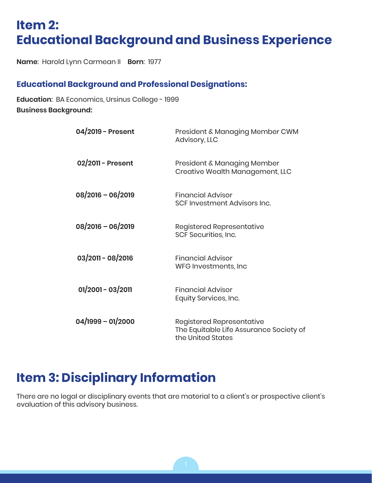#### **Item 2: Educational Background and Business Experience**

**Name**: Harold Lynn Carmean II **Born**: 1977

#### **Educational Background and Professional Designations:**

**Education**: BA Economics, Ursinus College - 1999 **Business Background:**

| 04/2019 - Present   | President & Managing Member CWM<br>Advisory, LLC                                                 |
|---------------------|--------------------------------------------------------------------------------------------------|
| 02/2011 - Present   | President & Managing Member<br>Creative Wealth Management, LLC                                   |
| 08/2016 - 06/2019   | <b>Financial Advisor</b><br>SCF Investment Advisors Inc.                                         |
| 08/2016 - 06/2019   | <b>Registered Representative</b><br>SCF Securities, Inc.                                         |
| $03/2011 - 08/2016$ | <b>Financial Advisor</b><br>WFG Investments, Inc.                                                |
| $01/2001 - 03/2011$ | Financial Advisor<br>Equity Services, Inc.                                                       |
| 04/1999 - 01/2000   | <b>Registered Representative</b><br>The Equitable Life Assurance Society of<br>the United States |

#### **Item 3: Disciplinary Information**

There are no legal or disciplinary events that are material to a client's or prospective client's evaluation of this advisory business.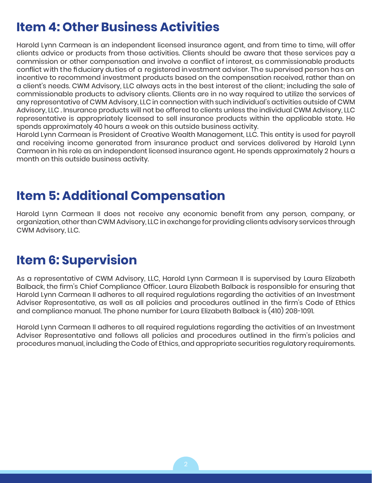### **Item 4: Other Business Activities**

Harold Lynn Carmean is an independent licensed insurance agent, and from time to time, will offer clients advice or products from those activities. Clients should be aware that these services pay a commission or other compensation and involve a conflict of interest, as commissionable products conflict with the fiduciary duties of a registered investment adviser. The supervised person has an incentive to recommend investment products based on the compensation received, rather than on a client's needs. CWM Advisory, LLC always acts in the best interest of the client; including the sale of commissionable products to advisory clients. Clients are in no way required to utilize the services of any representative of CWM Advisory, LLC in connection with such individual's activities outside of CWM Advisory, LLC . Insurance products will not be offered to clients unless the individual CWM Advisory, LLC representative is appropriately licensed to sell insurance products within the applicable state. He spends approximately 40 hours a week on this outside business activity.

Harold Lynn Carmean is President of Creative Wealth Management, LLC. This entity is used for payroll and receiving income generated from insurance product and services delivered by Harold Lynn Carmean in his role as an independent licensed insurance agent. He spends approximately 2 hours a month on this outside business activity.

#### **Item 5: Additional Compensation**

Harold Lynn Carmean II does not receive any economic benefit from any person, company, or organization, other than CWM Advisory, LLC in exchange for providing clients advisory services through CWM Advisory, LLC.

#### **Item 6: Supervision**

As a representative of CWM Advisory, LLC, Harold Lynn Carmean II is supervised by Laura Elizabeth Balback, the firm's Chief Compliance Officer. Laura Elizabeth Balback is responsible for ensuring that Harold Lynn Carmean II adheres to all required regulations regarding the activities of an Investment Adviser Representative, as well as all policies and procedures outlined in the firm's Code of Ethics and compliance manual. The phone number for Laura Elizabeth Balback is (410) 208-1091.

Harold Lynn Carmean II adheres to all required regulations regarding the activities of an Investment Adviser Representative and follows all policies and procedures outlined in the firm's policies and procedures manual, including the Code of Ethics, and appropriate securities regulatory requirements.